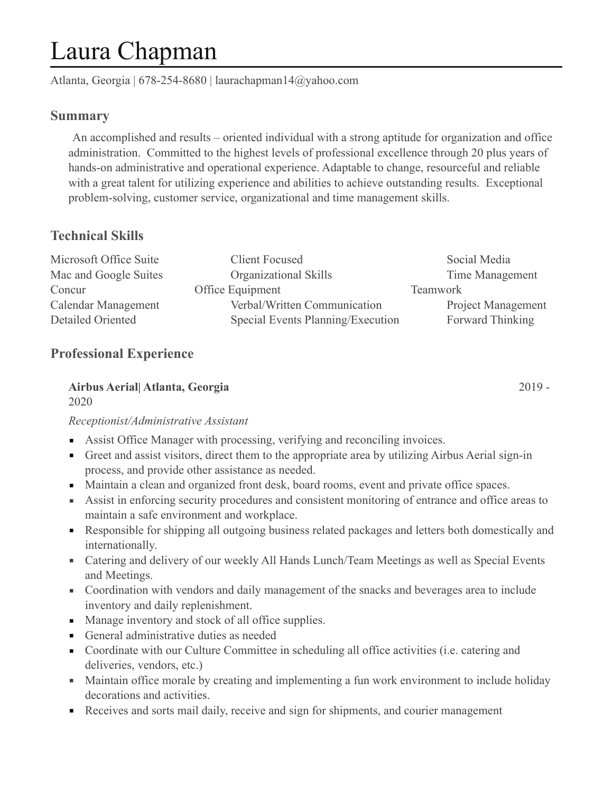# Laura Chapman

Atlanta, Georgia | 678-254-8680 | laurachapman14@yahoo.com

## **Summary**

 An accomplished and results – oriented individual with a strong aptitude for organization and office administration. Committed to the highest levels of professional excellence through 20 plus years of hands-on administrative and operational experience. Adaptable to change, resourceful and reliable with a great talent for utilizing experience and abilities to achieve outstanding results. Exceptional problem-solving, customer service, organizational and time management skills.

# **Technical Skills**

| Microsoft Office Suite | <b>Client Focused</b>             | Social Media              |
|------------------------|-----------------------------------|---------------------------|
| Mac and Google Suites  | Organizational Skills             | Time Management           |
| Concur                 | Office Equipment                  | <b>Teamwork</b>           |
| Calendar Management    | Verbal/Written Communication      | <b>Project Management</b> |
| Detailed Oriented      | Special Events Planning/Execution | Forward Thinking          |

# **Professional Experience**

# **Airbus Aerial| Atlanta, Georgia** 2019 -

2020

### *Receptionist/Administrative Assistant*

- Assist Office Manager with processing, verifying and reconciling invoices.
- Greet and assist visitors, direct them to the appropriate area by utilizing Airbus Aerial sign-in process, and provide other assistance as needed.
- Maintain a clean and organized front desk, board rooms, event and private office spaces.
- Assist in enforcing security procedures and consistent monitoring of entrance and office areas to maintain a safe environment and workplace.
- **Responsible for shipping all outgoing business related packages and letters both domestically and** internationally.
- Catering and delivery of our weekly All Hands Lunch/Team Meetings as well as Special Events and Meetings.
- Coordination with vendors and daily management of the snacks and beverages area to include inventory and daily replenishment.
- Manage inventory and stock of all office supplies.
- General administrative duties as needed
- Coordinate with our Culture Committee in scheduling all office activities (i.e. catering and deliveries, vendors, etc.)
- **EXECUTE:** Maintain office morale by creating and implementing a fun work environment to include holiday decorations and activities.
- Receives and sorts mail daily, receive and sign for shipments, and courier management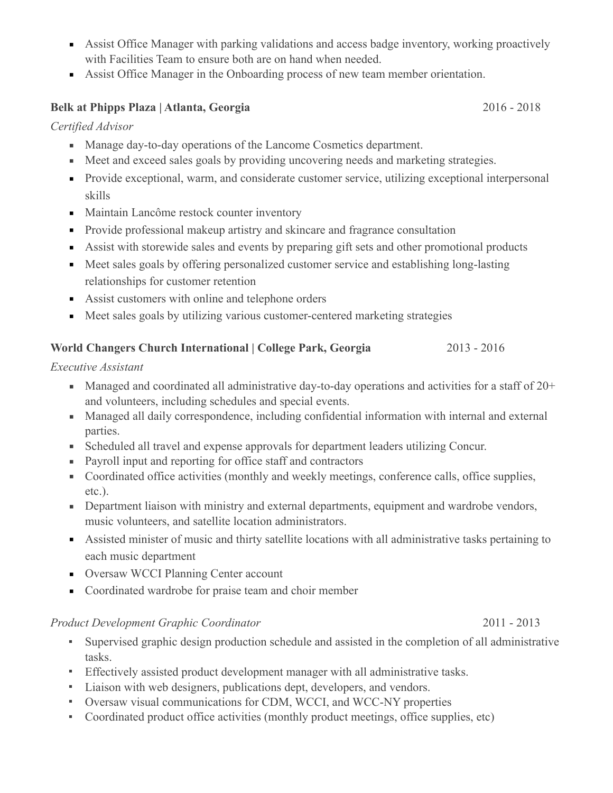- Assist Office Manager with parking validations and access badge inventory, working proactively with Facilities Team to ensure both are on hand when needed.
- Assist Office Manager in the Onboarding process of new team member orientation.

#### **Belk at Phipps Plaza | Atlanta, Georgia** 2016 - 2018

#### *Certified Advisor*

- Manage day-to-day operations of the Lancome Cosmetics department.
- Meet and exceed sales goals by providing uncovering needs and marketing strategies.
- Provide exceptional, warm, and considerate customer service, utilizing exceptional interpersonal skills
- Maintain Lancôme restock counter inventory
- **•** Provide professional makeup artistry and skincare and fragrance consultation
- Assist with storewide sales and events by preparing gift sets and other promotional products
- Meet sales goals by offering personalized customer service and establishing long-lasting relationships for customer retention
- Assist customers with online and telephone orders
- Meet sales goals by utilizing various customer-centered marketing strategies

### **World Changers Church International | College Park, Georgia** 2013 - 2016

#### *Executive Assistant*

- **•** Managed and coordinated all administrative day-to-day operations and activities for a staff of  $20+$ and volunteers, including schedules and special events.
- Managed all daily correspondence, including confidential information with internal and external parties.
- Scheduled all travel and expense approvals for department leaders utilizing Concur.
- Payroll input and reporting for office staff and contractors
- Coordinated office activities (monthly and weekly meetings, conference calls, office supplies, etc.).
- **•** Department liaison with ministry and external departments, equipment and wardrobe vendors, music volunteers, and satellite location administrators.
- Assisted minister of music and thirty satellite locations with all administrative tasks pertaining to each music department
- **Oversaw WCCI Planning Center account**
- Coordinated wardrobe for praise team and choir member

#### *Product Development Graphic Coordinator* 2011 - 2013

- Supervised graphic design production schedule and assisted in the completion of all administrative tasks.
- Effectively assisted product development manager with all administrative tasks.
- Liaison with web designers, publications dept, developers, and vendors.
- Oversaw visual communications for CDM, WCCI, and WCC-NY properties
- Coordinated product office activities (monthly product meetings, office supplies, etc)